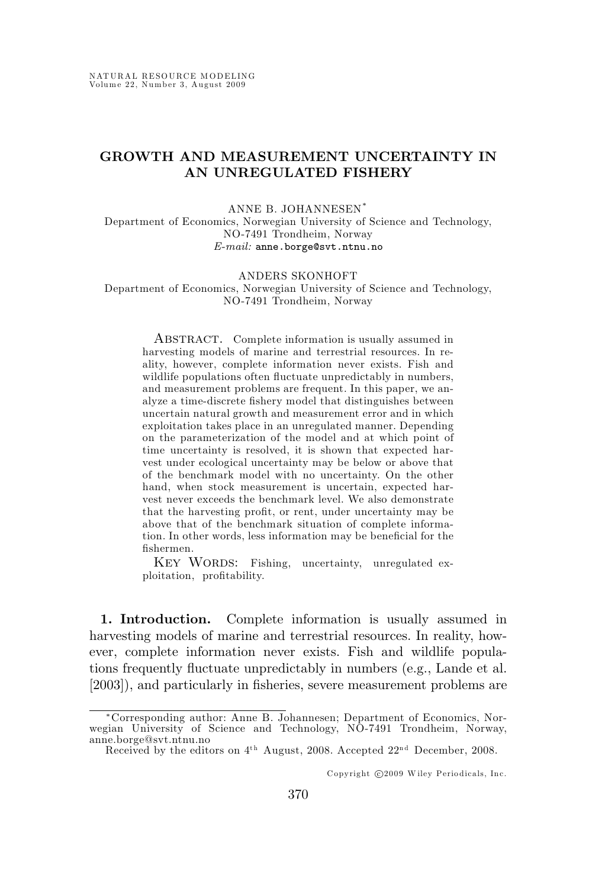# **GROWTH AND MEASUREMENT UNCERTAINTY IN AN UNREGULATED FISHERY**

ANNE B. JOHANNESEN<sup>∗</sup> Department of Economics, Norwegian University of Science and Technology, NO-7491 Trondheim, Norway E-mail: anne.borge@svt.ntnu.no

ANDERS SKONHOFT

Department of Economics, Norwegian University of Science and Technology, NO-7491 Trondheim, Norway

ABSTRACT. Complete information is usually assumed in harvesting models of marine and terrestrial resources. In reality, however, complete information never exists. Fish and wildlife populations often fluctuate unpredictably in numbers, and measurement problems are frequent. In this paper, we analyze a time-discrete fishery model that distinguishes between uncertain natural growth and measurement error and in which exploitation takes place in an unregulated manner. Depending on the parameterization of the model and at which point of time uncertainty is resolved, it is shown that expected harvest under ecological uncertainty may be below or above that of the benchmark model with no uncertainty. On the other hand, when stock measurement is uncertain, expected harvest never exceeds the benchmark level. We also demonstrate that the harvesting profit, or rent, under uncertainty may be above that of the benchmark situation of complete information. In other words, less information may be beneficial for the fishermen.

KEY WORDS: Fishing, uncertainty, unregulated exploitation, profitability.

**1. Introduction.** Complete information is usually assumed in harvesting models of marine and terrestrial resources. In reality, however, complete information never exists. Fish and wildlife populations frequently fluctuate unpredictably in numbers (e.g., Lande et al. [2003]), and particularly in fisheries, severe measurement problems are

<sup>∗</sup>Corresponding author: Anne B. Johannesen; Department of Economics, Nor-wegian University of Science and Technology, NO-7491 Trondheim, Norway, anne.borge@svt.ntnu.no

Received by the editors on  $4<sup>th</sup>$  August, 2008. Accepted  $22<sup>nd</sup>$  December, 2008.

Copyright ©2009 Wiley Periodicals, Inc.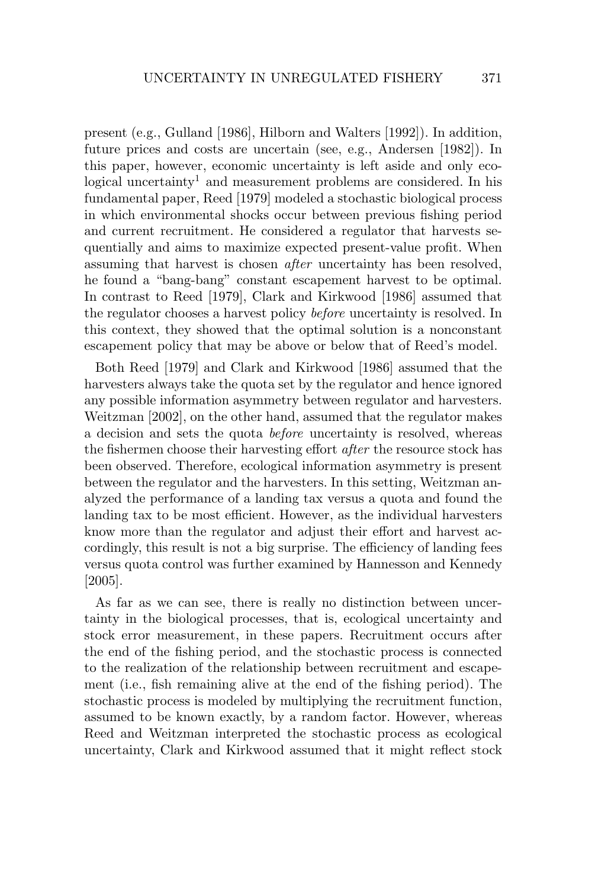present (e.g., Gulland [1986], Hilborn and Walters [1992]). In addition, future prices and costs are uncertain (see, e.g., Andersen [1982]). In this paper, however, economic uncertainty is left aside and only ecological uncertainty<sup>1</sup> and measurement problems are considered. In his fundamental paper, Reed [1979] modeled a stochastic biological process in which environmental shocks occur between previous fishing period and current recruitment. He considered a regulator that harvests sequentially and aims to maximize expected present-value profit. When assuming that harvest is chosen after uncertainty has been resolved, he found a "bang-bang" constant escapement harvest to be optimal. In contrast to Reed [1979], Clark and Kirkwood [1986] assumed that the regulator chooses a harvest policy *before* uncertainty is resolved. In this context, they showed that the optimal solution is a nonconstant escapement policy that may be above or below that of Reed's model.

Both Reed [1979] and Clark and Kirkwood [1986] assumed that the harvesters always take the quota set by the regulator and hence ignored any possible information asymmetry between regulator and harvesters. Weitzman [2002], on the other hand, assumed that the regulator makes a decision and sets the quota before uncertainty is resolved, whereas the fishermen choose their harvesting effort *after* the resource stock has been observed. Therefore, ecological information asymmetry is present between the regulator and the harvesters. In this setting, Weitzman analyzed the performance of a landing tax versus a quota and found the landing tax to be most efficient. However, as the individual harvesters know more than the regulator and adjust their effort and harvest accordingly, this result is not a big surprise. The efficiency of landing fees versus quota control was further examined by Hannesson and Kennedy [2005].

As far as we can see, there is really no distinction between uncertainty in the biological processes, that is, ecological uncertainty and stock error measurement, in these papers. Recruitment occurs after the end of the fishing period, and the stochastic process is connected to the realization of the relationship between recruitment and escapement (i.e., fish remaining alive at the end of the fishing period). The stochastic process is modeled by multiplying the recruitment function, assumed to be known exactly, by a random factor. However, whereas Reed and Weitzman interpreted the stochastic process as ecological uncertainty, Clark and Kirkwood assumed that it might reflect stock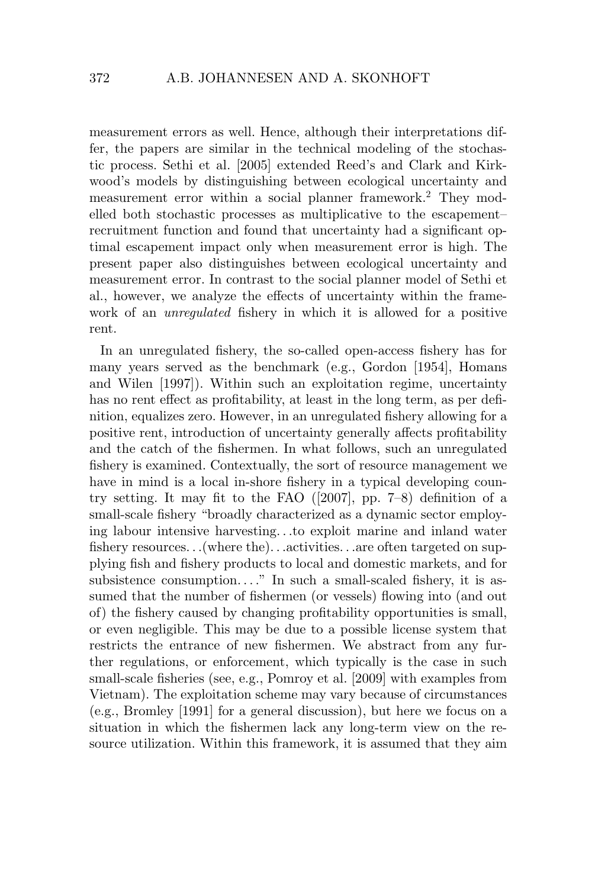measurement errors as well. Hence, although their interpretations differ, the papers are similar in the technical modeling of the stochastic process. Sethi et al. [2005] extended Reed's and Clark and Kirkwood's models by distinguishing between ecological uncertainty and measurement error within a social planner framework.2 They modelled both stochastic processes as multiplicative to the escapement– recruitment function and found that uncertainty had a significant optimal escapement impact only when measurement error is high. The present paper also distinguishes between ecological uncertainty and measurement error. In contrast to the social planner model of Sethi et al., however, we analyze the effects of uncertainty within the framework of an unregulated fishery in which it is allowed for a positive rent.

In an unregulated fishery, the so-called open-access fishery has for many years served as the benchmark (e.g., Gordon [1954], Homans and Wilen [1997]). Within such an exploitation regime, uncertainty has no rent effect as profitability, at least in the long term, as per definition, equalizes zero. However, in an unregulated fishery allowing for a positive rent, introduction of uncertainty generally affects profitability and the catch of the fishermen. In what follows, such an unregulated fishery is examined. Contextually, the sort of resource management we have in mind is a local in-shore fishery in a typical developing country setting. It may fit to the FAO ([2007], pp. 7–8) definition of a small-scale fishery "broadly characterized as a dynamic sector employing labour intensive harvesting...to exploit marine and inland water fishery resources...(where the)...activities...are often targeted on supplying fish and fishery products to local and domestic markets, and for subsistence consumption...." In such a small-scaled fishery, it is assumed that the number of fishermen (or vessels) flowing into (and out of) the fishery caused by changing profitability opportunities is small, or even negligible. This may be due to a possible license system that restricts the entrance of new fishermen. We abstract from any further regulations, or enforcement, which typically is the case in such small-scale fisheries (see, e.g., Pomroy et al. [2009] with examples from Vietnam). The exploitation scheme may vary because of circumstances (e.g., Bromley [1991] for a general discussion), but here we focus on a situation in which the fishermen lack any long-term view on the resource utilization. Within this framework, it is assumed that they aim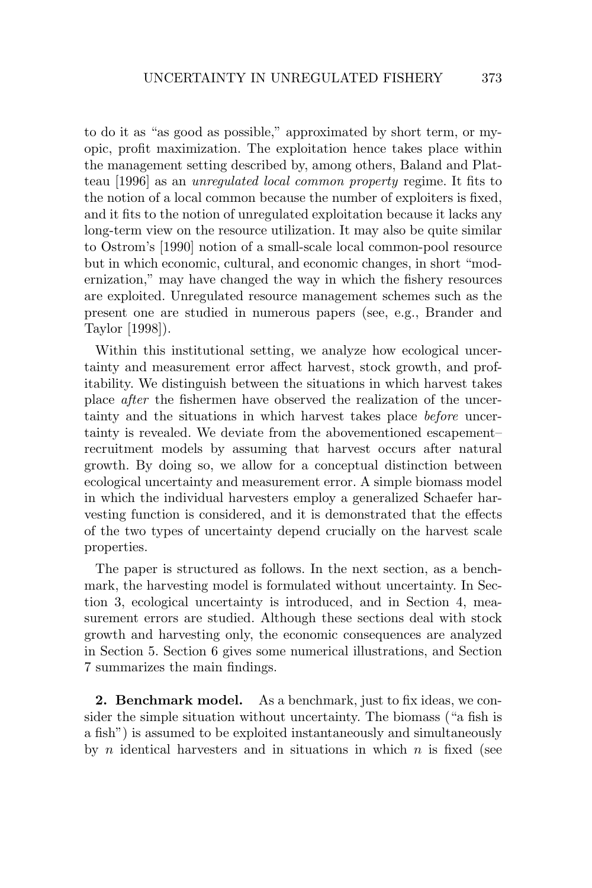to do it as "as good as possible," approximated by short term, or myopic, profit maximization. The exploitation hence takes place within the management setting described by, among others, Baland and Platteau [1996] as an unregulated local common property regime. It fits to the notion of a local common because the number of exploiters is fixed, and it fits to the notion of unregulated exploitation because it lacks any long-term view on the resource utilization. It may also be quite similar to Ostrom's [1990] notion of a small-scale local common-pool resource but in which economic, cultural, and economic changes, in short "modernization," may have changed the way in which the fishery resources are exploited. Unregulated resource management schemes such as the present one are studied in numerous papers (see, e.g., Brander and Taylor [1998]).

Within this institutional setting, we analyze how ecological uncertainty and measurement error affect harvest, stock growth, and profitability. We distinguish between the situations in which harvest takes place after the fishermen have observed the realization of the uncertainty and the situations in which harvest takes place before uncertainty is revealed. We deviate from the abovementioned escapement– recruitment models by assuming that harvest occurs after natural growth. By doing so, we allow for a conceptual distinction between ecological uncertainty and measurement error. A simple biomass model in which the individual harvesters employ a generalized Schaefer harvesting function is considered, and it is demonstrated that the effects of the two types of uncertainty depend crucially on the harvest scale properties.

The paper is structured as follows. In the next section, as a benchmark, the harvesting model is formulated without uncertainty. In Section 3, ecological uncertainty is introduced, and in Section 4, measurement errors are studied. Although these sections deal with stock growth and harvesting only, the economic consequences are analyzed in Section 5. Section 6 gives some numerical illustrations, and Section 7 summarizes the main findings.

**2. Benchmark model.** As a benchmark, just to fix ideas, we consider the simple situation without uncertainty. The biomass ("a fish is a fish") is assumed to be exploited instantaneously and simultaneously by  $n$  identical harvesters and in situations in which  $n$  is fixed (see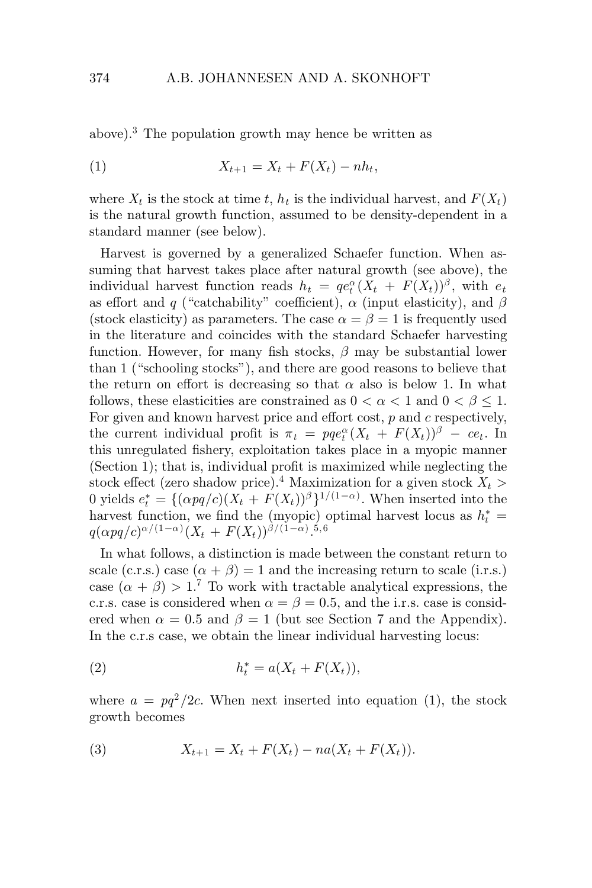above).<sup>3</sup> The population growth may hence be written as

(1) 
$$
X_{t+1} = X_t + F(X_t) - nh_t,
$$

where  $X_t$  is the stock at time t,  $h_t$  is the individual harvest, and  $F(X_t)$ is the natural growth function, assumed to be density-dependent in a standard manner (see below).

Harvest is governed by a generalized Schaefer function. When assuming that harvest takes place after natural growth (see above), the individual harvest function reads  $h_t = q e_t^{\alpha} (X_t + F(X_t))^{\beta}$ , with  $e_t$ as effort and q ("catchability" coefficient),  $\alpha$  (input elasticity), and  $\beta$ (stock elasticity) as parameters. The case  $\alpha = \beta = 1$  is frequently used in the literature and coincides with the standard Schaefer harvesting function. However, for many fish stocks,  $\beta$  may be substantial lower than 1 ("schooling stocks"), and there are good reasons to believe that the return on effort is decreasing so that  $\alpha$  also is below 1. In what follows, these elasticities are constrained as  $0 < \alpha < 1$  and  $0 < \beta < 1$ . For given and known harvest price and effort cost,  $p$  and  $c$  respectively, the current individual profit is  $\pi_t = p q e_t^{\alpha} (X_t + F(X_t))^{\beta} - c e_t$ . In this unregulated fishery, exploitation takes place in a myopic manner (Section 1); that is, individual profit is maximized while neglecting the stock effect (zero shadow price).<sup>4</sup> Maximization for a given stock  $X_t$ 0 yields  $e_t^* = \{(\alpha pq/c)(X_t + F(X_t))^{\beta}\}^{1/(1-\alpha)}$ . When inserted into the harvest function, we find the (myopic) optimal harvest locus as  $h_t^* =$  $q(\alpha pq/c)^{\alpha/(1-\alpha)}(X_t+F(X_t))^{\beta/(1-\alpha)}$ .<sup>5,6</sup>

In what follows, a distinction is made between the constant return to scale (c.r.s.) case  $(\alpha + \beta) = 1$  and the increasing return to scale (i.r.s.) case  $(\alpha + \beta) > 1$ .<sup>7</sup> To work with tractable analytical expressions, the c.r.s. case is considered when  $\alpha = \beta = 0.5$ , and the i.r.s. case is considered when  $\alpha = 0.5$  and  $\beta = 1$  (but see Section 7 and the Appendix). In the c.r.s case, we obtain the linear individual harvesting locus:

$$
(2) \t\t\t h_t^* = a(X_t + F(X_t)),
$$

where  $a = \frac{pq^2}{2c}$ . When next inserted into equation (1), the stock growth becomes

(3) 
$$
X_{t+1} = X_t + F(X_t) - na(X_t + F(X_t)).
$$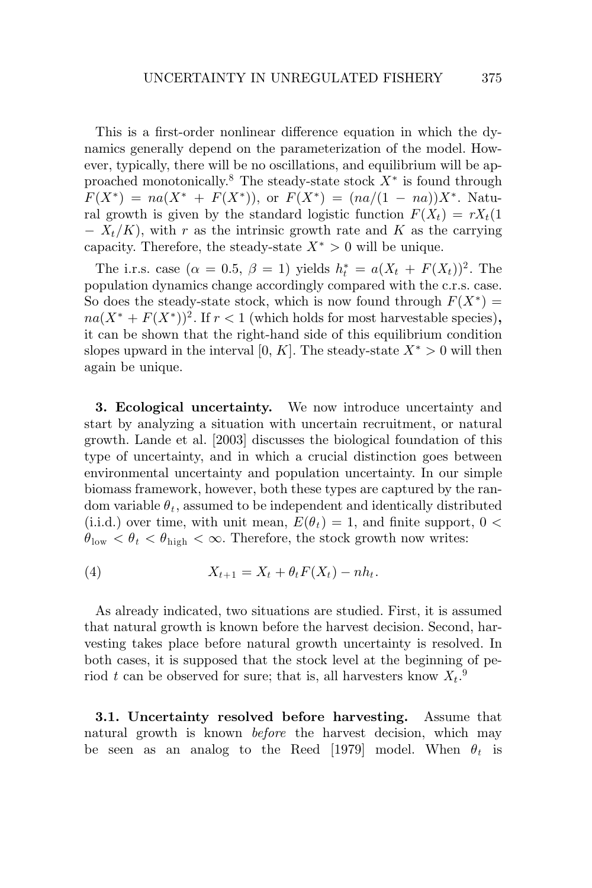This is a first-order nonlinear difference equation in which the dynamics generally depend on the parameterization of the model. However, typically, there will be no oscillations, and equilibrium will be approached monotonically.<sup>8</sup> The steady-state stock  $X^*$  is found through  $F(X^*) = na(X^* + F(X^*)),$  or  $F(X^*) = (na/(1 - na))X^*$ . Natural growth is given by the standard logistic function  $F(X_t) = rX_t(1)$  $- X_t/K$ , with r as the intrinsic growth rate and K as the carrying capacity. Therefore, the steady-state  $X^* > 0$  will be unique.

The i.r.s. case  $(\alpha = 0.5, \beta = 1)$  yields  $h_t^* = a(X_t + F(X_t))^2$ . The population dynamics change accordingly compared with the c.r.s. case. So does the steady-state stock, which is now found through  $F(X^*) =$  $na(X^* + F(X^*))^2$ . If  $r < 1$  (which holds for most harvestable species), it can be shown that the right-hand side of this equilibrium condition slopes upward in the interval [0, K]. The steady-state  $X^* > 0$  will then again be unique.

**3. Ecological uncertainty.** We now introduce uncertainty and start by analyzing a situation with uncertain recruitment, or natural growth. Lande et al. [2003] discusses the biological foundation of this type of uncertainty, and in which a crucial distinction goes between environmental uncertainty and population uncertainty. In our simple biomass framework, however, both these types are captured by the random variable  $\theta_t$ , assumed to be independent and identically distributed (i.i.d.) over time, with unit mean,  $E(\theta_t) = 1$ , and finite support,  $0 <$  $\theta_{\text{low}} < \theta_t < \theta_{\text{high}} < \infty$ . Therefore, the stock growth now writes:

$$
(4) \t\t X_{t+1} = X_t + \theta_t F(X_t) - nh_t.
$$

As already indicated, two situations are studied. First, it is assumed that natural growth is known before the harvest decision. Second, harvesting takes place before natural growth uncertainty is resolved. In both cases, it is supposed that the stock level at the beginning of period t can be observed for sure; that is, all harvesters know  $X_t$ .<sup>9</sup>

**3.1. Uncertainty resolved before harvesting.** Assume that natural growth is known *before* the harvest decision, which may be seen as an analog to the Reed [1979] model. When  $\theta_t$  is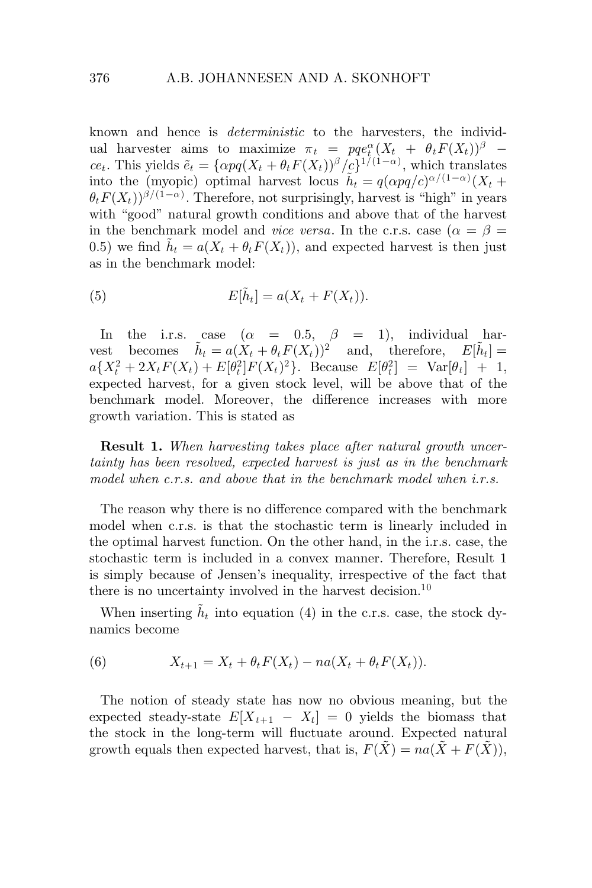known and hence is deterministic to the harvesters, the individual harvester aims to maximize  $\pi_t = p q e_t^{\alpha} (X_t + \theta_t F(X_t))^{\beta}$  – ce<sub>t</sub>. This yields  $\tilde{e}_t = {\alpha pq(X_t + \theta_t F(X_t))^{\beta}}/{c}^{1/(1-\alpha)}$ , which translates into the (myopic) optimal harvest locus  $\tilde{h}_t = q(\alpha pq/c)^{\alpha/(1-\alpha)}(X_t +$  $\theta_t F(X_t)^{\beta/(1-\alpha)}$ . Therefore, not surprisingly, harvest is "high" in years with "good" natural growth conditions and above that of the harvest in the benchmark model and *vice versa*. In the c.r.s. case ( $\alpha = \beta =$ 0.5) we find  $h_t = a(X_t + \theta_t F(X_t))$ , and expected harvest is then just as in the benchmark model:

(5) 
$$
E[\tilde{h}_t] = a(X_t + F(X_t)).
$$

In the i.r.s. case  $(\alpha = 0.5, \beta = 1)$ , individual harvest becomes  $\tilde{h}_t = a(X_t + \theta_t F(X_t))^2$  and, therefore,  $E[\tilde{h}_t] =$  $a\{X_t^2 + 2X_t F(X_t) + E[\theta_t^2]F(X_t)^2\}$ . Because  $E[\theta_t^2] = Var[\theta_t] + 1$ , expected harvest, for a given stock level, will be above that of the benchmark model. Moreover, the difference increases with more growth variation. This is stated as

**Result 1.** When harvesting takes place after natural growth uncertainty has been resolved, expected harvest is just as in the benchmark model when c.r.s. and above that in the benchmark model when i.r.s.

The reason why there is no difference compared with the benchmark model when c.r.s. is that the stochastic term is linearly included in the optimal harvest function. On the other hand, in the i.r.s. case, the stochastic term is included in a convex manner. Therefore, Result 1 is simply because of Jensen's inequality, irrespective of the fact that there is no uncertainty involved in the harvest decision.<sup>10</sup>

When inserting  $h_t$  into equation (4) in the c.r.s. case, the stock dynamics become

(6) 
$$
X_{t+1} = X_t + \theta_t F(X_t) - na(X_t + \theta_t F(X_t)).
$$

The notion of steady state has now no obvious meaning, but the expected steady-state  $E[X_{t+1} - X_t] = 0$  yields the biomass that the stock in the long-term will fluctuate around. Expected natural growth equals then expected harvest, that is,  $F(X) = na(X + F(X)),$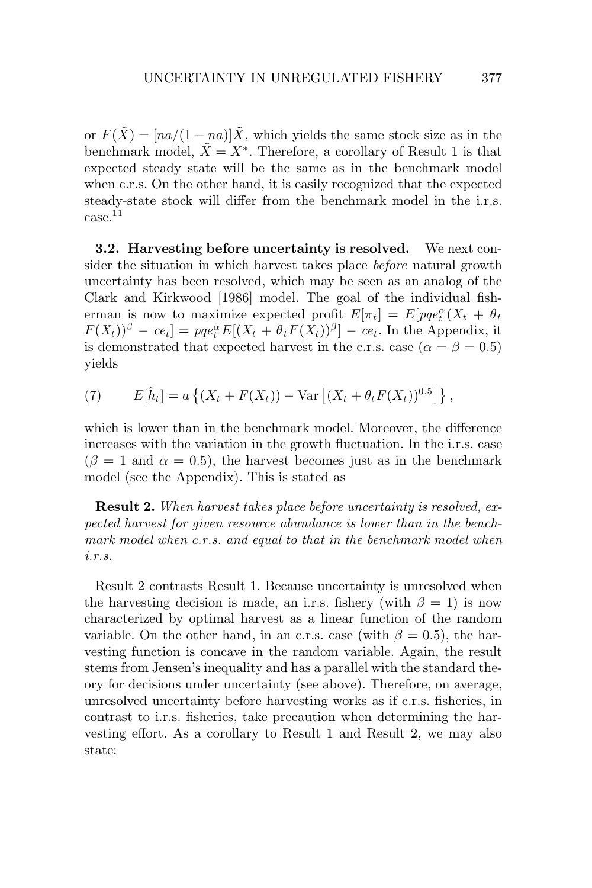or  $F(\tilde{X})=[na/(1-na)]\tilde{X}$ , which yields the same stock size as in the benchmark model,  $\tilde{X} = X^*$ . Therefore, a corollary of Result 1 is that expected steady state will be the same as in the benchmark model when c.r.s. On the other hand, it is easily recognized that the expected steady-state stock will differ from the benchmark model in the i.r.s. case.<sup>11</sup>

**3.2. Harvesting before uncertainty is resolved.** We next consider the situation in which harvest takes place before natural growth uncertainty has been resolved, which may be seen as an analog of the Clark and Kirkwood [1986] model. The goal of the individual fisherman is now to maximize expected profit  $E[\pi_t] = E[pqe_t^{\alpha}(X_t + \theta_t)]$  $F(X_t)$ )<sup>β</sup> – ce<sub>t</sub>] = pqe<sup>a</sup><sub>t</sub>  $E[(X_t + \theta_t F(X_t))$ <sup>β</sup>] – ce<sub>t</sub>. In the Appendix, it is demonstrated that expected harvest in the c.r.s. case ( $\alpha = \beta = 0.5$ ) yields

(7) 
$$
E[\hat{h}_t] = a\left\{ (X_t + F(X_t)) - \text{Var} \left[ (X_t + \theta_t F(X_t))^{0.5} \right] \right\},
$$

which is lower than in the benchmark model. Moreover, the difference increases with the variation in the growth fluctuation. In the i.r.s. case  $(\beta = 1$  and  $\alpha = 0.5)$ , the harvest becomes just as in the benchmark model (see the Appendix). This is stated as

**Result 2.** When harvest takes place before uncertainty is resolved, expected harvest for given resource abundance is lower than in the benchmark model when c.r.s. and equal to that in the benchmark model when i.r.s.

Result 2 contrasts Result 1. Because uncertainty is unresolved when the harvesting decision is made, an i.r.s. fishery (with  $\beta = 1$ ) is now characterized by optimal harvest as a linear function of the random variable. On the other hand, in an c.r.s. case (with  $\beta = 0.5$ ), the harvesting function is concave in the random variable. Again, the result stems from Jensen's inequality and has a parallel with the standard theory for decisions under uncertainty (see above). Therefore, on average, unresolved uncertainty before harvesting works as if c.r.s. fisheries, in contrast to i.r.s. fisheries, take precaution when determining the harvesting effort. As a corollary to Result 1 and Result 2, we may also state: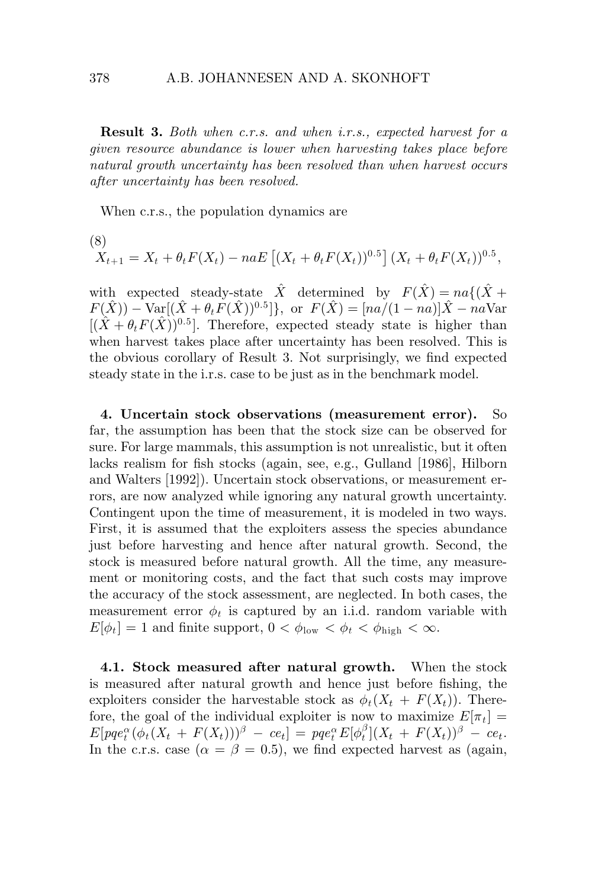**Result 3.** Both when c.r.s. and when i.r.s., expected harvest for a given resource abundance is lower when harvesting takes place before natural growth uncertainty has been resolved than when harvest occurs after uncertainty has been resolved.

When c.r.s., the population dynamics are

(8)  

$$
X_{t+1} = X_t + \theta_t F(X_t) - naE [(X_t + \theta_t F(X_t))^{0.5}] (X_t + \theta_t F(X_t))^{0.5},
$$

with expected steady-state  $\hat{X}$  determined by  $F(\hat{X}) = na\{(\hat{X} + \hat{X})\}$  $F(\hat{X}) - \text{Var}[(\hat{X} + \theta_t F(\hat{X}))^{0.5}]\}, \text{ or } F(\hat{X}) = [na/(1 - na)]\hat{X} - na\text{Var}$  $[(\hat{X} + \theta_t F(\hat{X}))^{0.5}]$ . Therefore, expected steady state is higher than when harvest takes place after uncertainty has been resolved. This is the obvious corollary of Result 3. Not surprisingly, we find expected steady state in the i.r.s. case to be just as in the benchmark model.

**4. Uncertain stock observations (measurement error).** So far, the assumption has been that the stock size can be observed for sure. For large mammals, this assumption is not unrealistic, but it often lacks realism for fish stocks (again, see, e.g., Gulland [1986], Hilborn and Walters [1992]). Uncertain stock observations, or measurement errors, are now analyzed while ignoring any natural growth uncertainty. Contingent upon the time of measurement, it is modeled in two ways. First, it is assumed that the exploiters assess the species abundance just before harvesting and hence after natural growth. Second, the stock is measured before natural growth. All the time, any measurement or monitoring costs, and the fact that such costs may improve the accuracy of the stock assessment, are neglected. In both cases, the measurement error  $\phi_t$  is captured by an i.i.d. random variable with  $E[\phi_t] = 1$  and finite support,  $0 < \phi_{\text{low}} < \phi_t < \phi_{\text{high}} < \infty$ .

**4.1. Stock measured after natural growth.** When the stock is measured after natural growth and hence just before fishing, the exploiters consider the harvestable stock as  $\phi_t(X_t + F(X_t))$ . Therefore, the goal of the individual exploiter is now to maximize  $E[\pi_t] =$  $E[pqe_t^{\alpha}(\phi_t(X_t + F(X_t)))^{\beta} - ce_t] = pqe_t^{\alpha}E[\phi_t^{\beta}](X_t + F(X_t))^{\beta} - ce_t.$ In the c.r.s. case ( $\alpha = \beta = 0.5$ ), we find expected harvest as (again,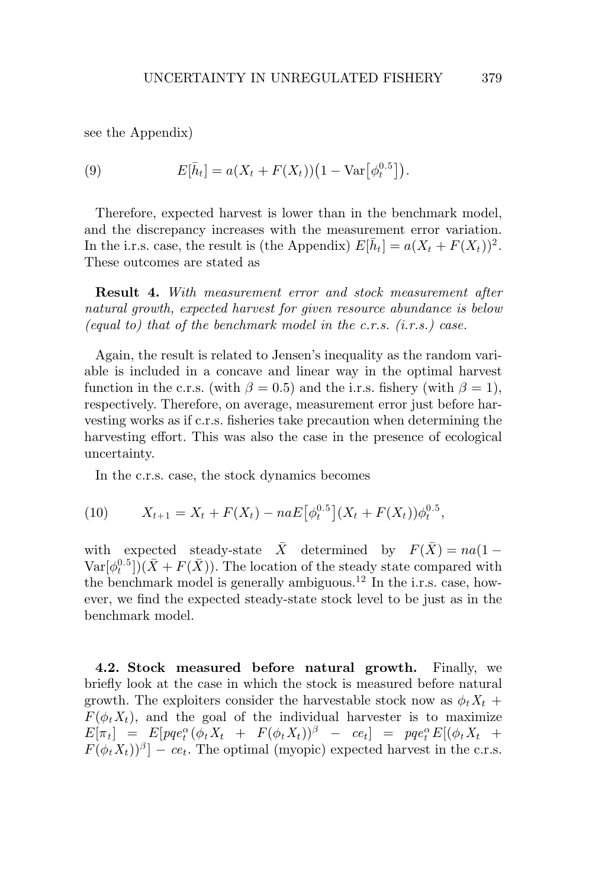see the Appendix)

(9) 
$$
E[\bar{h}_t] = a(X_t + F(X_t))(1 - \text{Var}[\phi_t^{0.5}]).
$$

Therefore, expected harvest is lower than in the benchmark model, and the discrepancy increases with the measurement error variation. In the i.r.s. case, the result is (the Appendix)  $E[\bar{h}_t] = a(X_t + F(X_t))^2$ . These outcomes are stated as

**Result 4.** With measurement error and stock measurement after natural growth, expected harvest for given resource abundance is below (equal to) that of the benchmark model in the c.r.s.  $(i.r.s.)$  case.

Again, the result is related to Jensen's inequality as the random variable is included in a concave and linear way in the optimal harvest function in the c.r.s. (with  $\beta = 0.5$ ) and the i.r.s. fishery (with  $\beta = 1$ ), respectively. Therefore, on average, measurement error just before harvesting works as if c.r.s. fisheries take precaution when determining the harvesting effort. This was also the case in the presence of ecological uncertainty.

In the c.r.s. case, the stock dynamics becomes

(10) 
$$
X_{t+1} = X_t + F(X_t) - naE[\phi_t^{0.5}](X_t + F(X_t))\phi_t^{0.5},
$$

with expected steady-state  $\overline{X}$  determined by  $F(\overline{X}) = na(1 Var[\phi_t^{0.5}]$   $(\bar{X} + F(\bar{X}))$ . The location of the steady state compared with the benchmark model is generally ambiguous.<sup>12</sup> In the i.r.s. case, however, we find the expected steady-state stock level to be just as in the benchmark model.

**4.2. Stock measured before natural growth.** Finally, we briefly look at the case in which the stock is measured before natural growth. The exploiters consider the harvestable stock now as  $\phi_t X_t$  +  $F(\phi_t X_t)$ , and the goal of the individual harvester is to maximize  $E[\pi_t] = E[pqe_t^{\alpha}(\phi_t X_t + F(\phi_t X_t))^{\beta} - ce_t] = pqe_t^{\alpha}E[(\phi_t X_t +$  $F(\phi_t X_t)^{\beta}$  – ce<sub>t</sub>. The optimal (myopic) expected harvest in the c.r.s.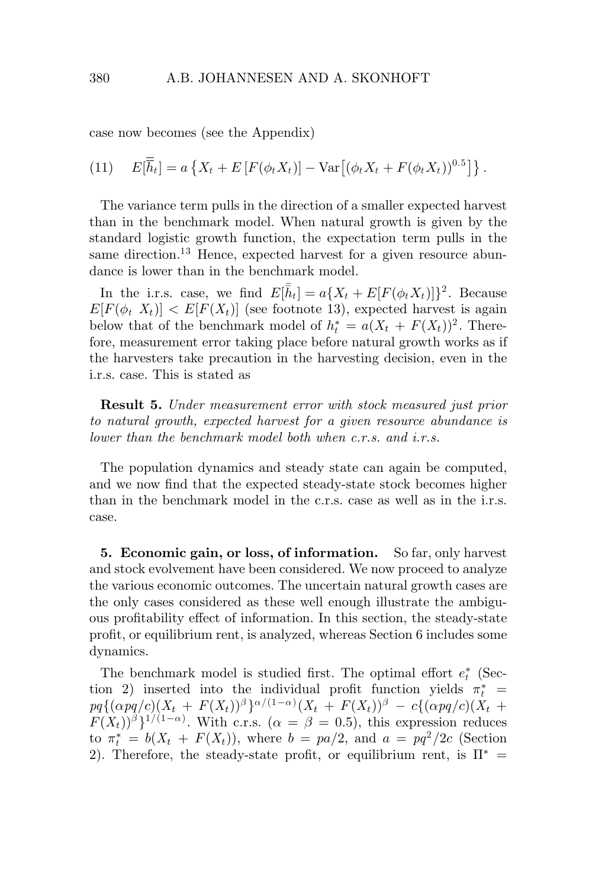case now becomes (see the Appendix)

(11) 
$$
E[\overline{h}_t] = a\left\{X_t + E\left[F(\phi_t X_t)\right] - \text{Var}\left[(\phi_t X_t + F(\phi_t X_t))^{0.5}\right]\right\}.
$$

The variance term pulls in the direction of a smaller expected harvest than in the benchmark model. When natural growth is given by the standard logistic growth function, the expectation term pulls in the same direction.<sup>13</sup> Hence, expected harvest for a given resource abundance is lower than in the benchmark model.

In the i.r.s. case, we find  $E[\bar{h}_t] = a\{X_t + E[F(\phi_t X_t)]\}^2$ . Because  $E[F(\phi_t \ X_t)] < E[F(X_t)]$  (see footnote 13), expected harvest is again below that of the benchmark model of  $h_t^* = a(X_t + F(X_t))^2$ . Therefore, measurement error taking place before natural growth works as if the harvesters take precaution in the harvesting decision, even in the i.r.s. case. This is stated as

**Result 5.** Under measurement error with stock measured just prior to natural growth, expected harvest for a given resource abundance is lower than the benchmark model both when c.r.s. and i.r.s.

The population dynamics and steady state can again be computed, and we now find that the expected steady-state stock becomes higher than in the benchmark model in the c.r.s. case as well as in the i.r.s. case.

**5. Economic gain, or loss, of information.** So far, only harvest and stock evolvement have been considered. We now proceed to analyze the various economic outcomes. The uncertain natural growth cases are the only cases considered as these well enough illustrate the ambiguous profitability effect of information. In this section, the steady-state profit, or equilibrium rent, is analyzed, whereas Section 6 includes some dynamics.

The benchmark model is studied first. The optimal effort  $e_t^*$  (Section 2) inserted into the individual profit function yields  $\pi_t^*$  =  $pq\{(\alpha pq/c)(X_t + F(X_t))^{\beta}\}^{\alpha/(1-\alpha)}(X_t + F(X_t))^{\beta} - c\{(\alpha pq/c)(X_t + F(X_t))^{\beta}\}$  $F(X_t)^{\beta}$ <sup>1/(1-α)</sup>. With c.r.s. ( $\alpha = \beta = 0.5$ ), this expression reduces to  $\pi_t^* = b(X_t + F(X_t))$ , where  $b = pa/2$ , and  $a = pq^2/2c$  (Section 2). Therefore, the steady-state profit, or equilibrium rent, is  $\Pi^* =$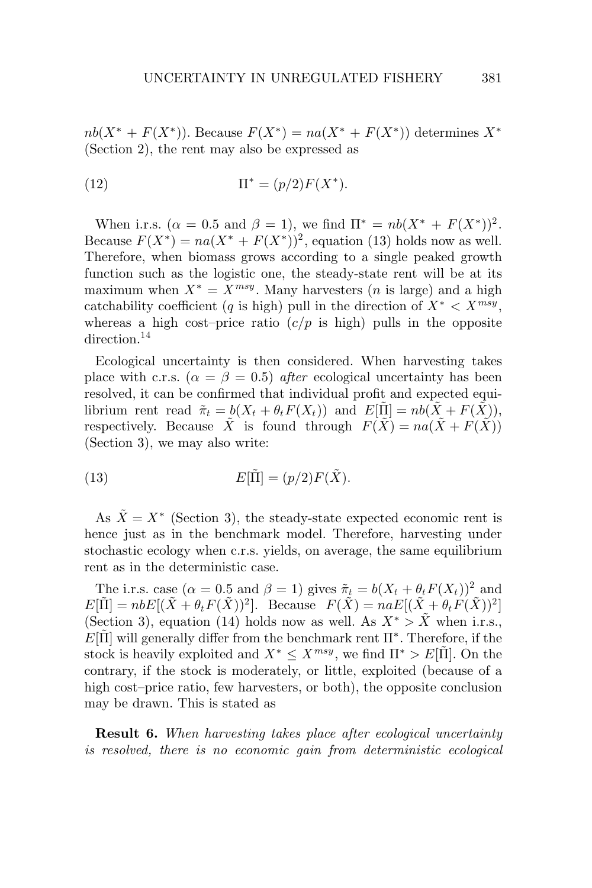$nb(X^* + F(X^*))$ . Because  $F(X^*) = na(X^* + F(X^*))$  determines  $X^*$ (Section 2), the rent may also be expressed as

(12) 
$$
\Pi^* = (p/2)F(X^*).
$$

When i.r.s. ( $\alpha = 0.5$  and  $\beta = 1$ ), we find  $\Pi^* = nb(X^* + F(X^*))^2$ . Because  $F(X^*) = na(X^* + F(X^*))^2$ , equation (13) holds now as well. Therefore, when biomass grows according to a single peaked growth function such as the logistic one, the steady-state rent will be at its maximum when  $X^* = X^{msy}$ . Many harvesters (*n* is large) and a high catchability coefficient (q is high) pull in the direction of  $X^* \leq X^{msy}$ , whereas a high cost–price ratio  $(c/p)$  is high) pulls in the opposite direction.<sup>14</sup>

Ecological uncertainty is then considered. When harvesting takes place with c.r.s.  $(\alpha = \beta = 0.5)$  after ecological uncertainty has been resolved, it can be confirmed that individual profit and expected equilibrium rent read  $\tilde{\pi}_t = b(X_t + \theta_t F(X_t))$  and  $E[\Pi] = nb(X + F(X)),$ respectively. Because  $\tilde{X}$  is found through  $F(\tilde{X}) = na(\tilde{X} + F(\tilde{X}))$ (Section 3), we may also write:

(13) 
$$
E[\tilde{\Pi}] = (p/2)F(\tilde{X}).
$$

As  $\tilde{X} = X^*$  (Section 3), the steady-state expected economic rent is hence just as in the benchmark model. Therefore, harvesting under stochastic ecology when c.r.s. yields, on average, the same equilibrium rent as in the deterministic case.

The i.r.s. case ( $\alpha = 0.5$  and  $\beta = 1$ ) gives  $\tilde{\pi}_t = b(X_t + \theta_t F(X_t))^2$  and  $E[\Pi] = nbE[(\ddot{X} + \theta_t F(\ddot{X}))^2]$ . Because  $F(\ddot{X}) = naE[(\ddot{X} + \theta_t F(\ddot{X}))^2]$ (Section 3), equation (14) holds now as well. As  $X^* > X$  when i.r.s.,  $E[\Pi]$  will generally differ from the benchmark rent  $\Pi^*$ . Therefore, if the stock is heavily exploited and  $X^* \leq X^{msy}$ , we find  $\Pi^* \geq E[\Pi]$ . On the contrary, if the stock is moderately, or little, exploited (because of a high cost–price ratio, few harvesters, or both), the opposite conclusion may be drawn. This is stated as

**Result 6.** When harvesting takes place after ecological uncertainty is resolved, there is no economic gain from deterministic ecological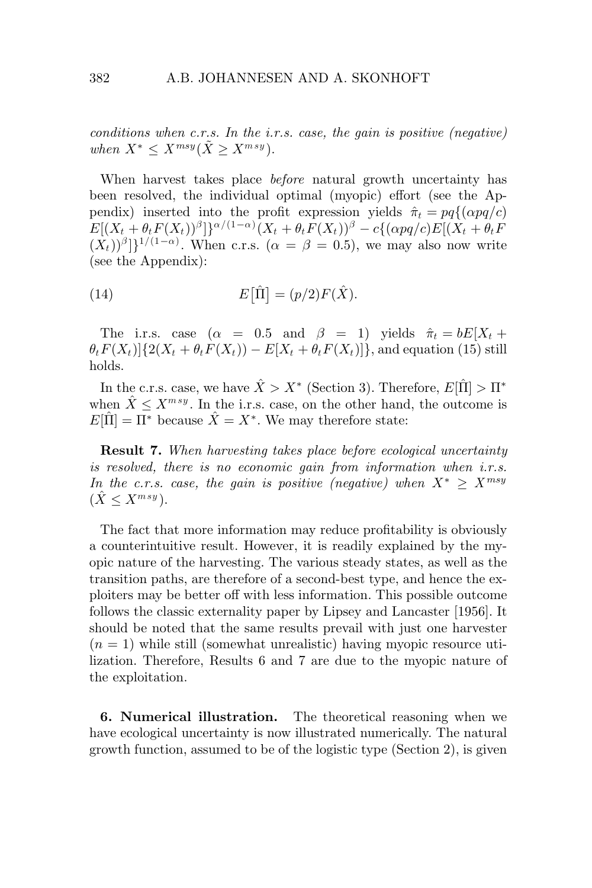conditions when c.r.s. In the i.r.s. case, the gain is positive (negative) when  $X^* \leq X^{msy}$   $(X \geq X^{msy})$ .

When harvest takes place *before* natural growth uncertainty has been resolved, the individual optimal (myopic) effort (see the Appendix) inserted into the profit expression yields  $\hat{\pi}_t = pq\{(\alpha pq/c)$  $E[(X_t + \theta_t F(X_t))^{\beta}]^{\alpha/(1-\alpha)} (X_t + \theta_t F(X_t))^{\beta} - c\{(\alpha pq/c)E[(X_t + \theta_t F(t)))^{\beta}]\}$  $(X_t)^{\beta}$ }<sup>1/(1- $\alpha$ ). When c.r.s. ( $\alpha = \beta = 0.5$ ), we may also now write</sup> (see the Appendix):

(14) 
$$
E[\hat{\Pi}] = (p/2)F(\hat{X}).
$$

The i.r.s. case  $(\alpha = 0.5 \text{ and } \beta = 1)$  yields  $\hat{\pi}_t = bE[X_t +$  $\theta_t F(X_t) \big| \{ 2(X_t + \theta_t F(X_t)) - E[X_t + \theta_t F(X_t)] \},$  and equation (15) still holds.

In the c.r.s. case, we have  $\hat{X}>X^*$  (Section 3). Therefore,  $E[\hat{\Pi}]>\Pi^*$ when  $\hat{X} \leq X^{msy}$ . In the i.r.s. case, on the other hand, the outcome is  $E[\hat{\Pi}] = \Pi^*$  because  $\hat{X} = X^*$ . We may therefore state:

**Result 7.** When harvesting takes place before ecological uncertainty is resolved, there is no economic gain from information when i.r.s. In the c.r.s. case, the gain is positive (negative) when  $X^* \geq X^{msy}$  $(X \leq X^{msy})$ .

The fact that more information may reduce profitability is obviously a counterintuitive result. However, it is readily explained by the myopic nature of the harvesting. The various steady states, as well as the transition paths, are therefore of a second-best type, and hence the exploiters may be better off with less information. This possible outcome follows the classic externality paper by Lipsey and Lancaster [1956]. It should be noted that the same results prevail with just one harvester  $(n = 1)$  while still (somewhat unrealistic) having myopic resource utilization. Therefore, Results 6 and 7 are due to the myopic nature of the exploitation.

**6. Numerical illustration.** The theoretical reasoning when we have ecological uncertainty is now illustrated numerically. The natural growth function, assumed to be of the logistic type (Section 2), is given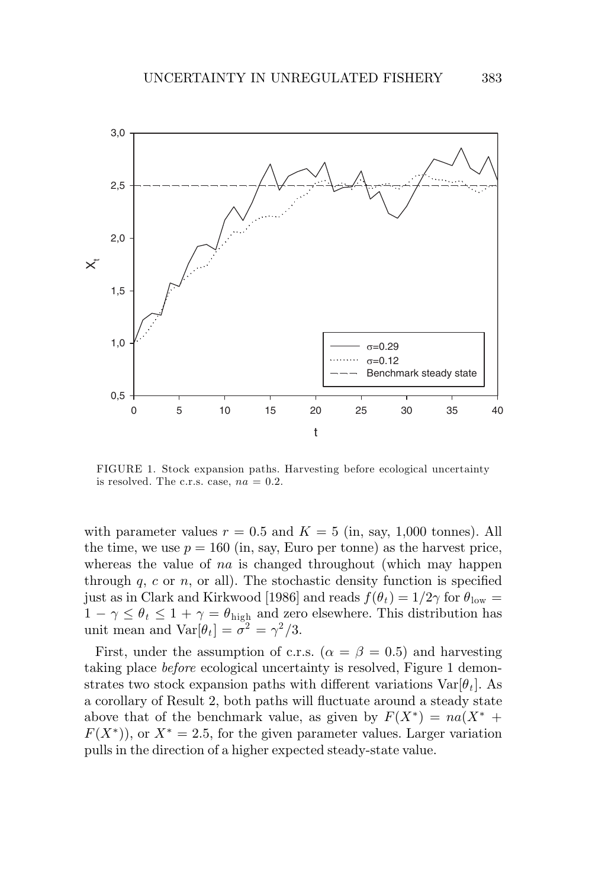

FIGURE 1. Stock expansion paths. Harvesting before ecological uncertainty is resolved. The c.r.s. case,  $na = 0.2$ .

with parameter values  $r = 0.5$  and  $K = 5$  (in, say, 1,000 tonnes). All the time, we use  $p = 160$  (in, say, Euro per tonne) as the harvest price, whereas the value of  $na$  is changed throughout (which may happen through  $q, c$  or  $n$ , or all). The stochastic density function is specified just as in Clark and Kirkwood [1986] and reads  $f(\theta_t)=1/2\gamma$  for  $\theta_{\text{low}}=$  $1 - \gamma \leq \theta_t \leq 1 + \gamma = \theta_{\text{high}}$  and zero elsewhere. This distribution has unit mean and Var $[\theta_t] = \tilde{\sigma}^2 = \gamma^2/3$ .

First, under the assumption of c.r.s. ( $\alpha = \beta = 0.5$ ) and harvesting taking place before ecological uncertainty is resolved, Figure 1 demonstrates two stock expansion paths with different variations  $Var[\theta_t]$ . As a corollary of Result 2, both paths will fluctuate around a steady state above that of the benchmark value, as given by  $F(X^*) = na(X^* +$  $F(X^*))$ , or  $X^* = 2.5$ , for the given parameter values. Larger variation pulls in the direction of a higher expected steady-state value.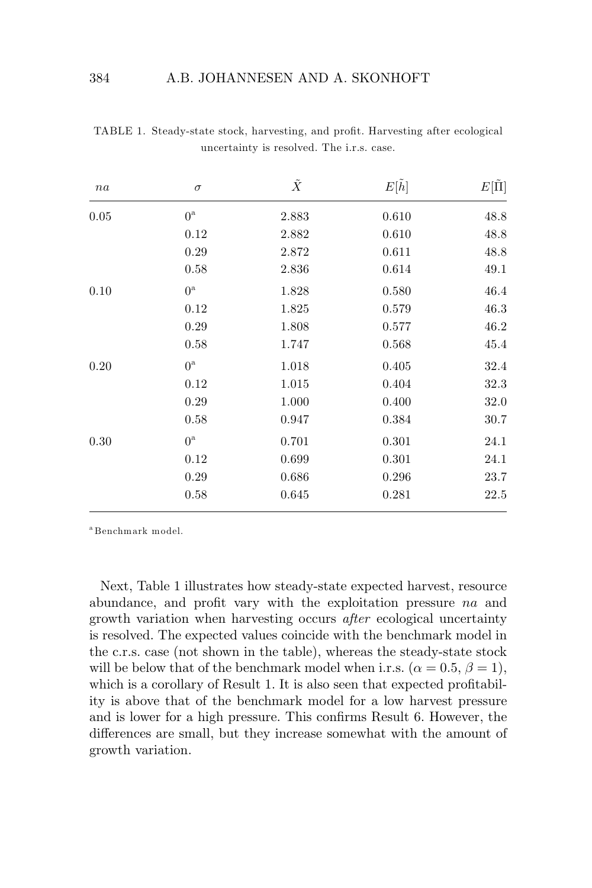| $\real na$ | $\sigma$         | $\tilde{X}$ | $E[\tilde{h}]$ | $E[\tilde{\Pi}]$ |
|------------|------------------|-------------|----------------|------------------|
| 0.05       | $0^{\mathrm{a}}$ | 2.883       | 0.610          | 48.8             |
|            | 0.12             | 2.882       | 0.610          | 48.8             |
|            | 0.29             | 2.872       | 0.611          | 48.8             |
|            | 0.58             | 2.836       | 0.614          | 49.1             |
| 0.10       | $0^{\rm a}$      | 1.828       | 0.580          | 46.4             |
|            | 0.12             | 1.825       | 0.579          | 46.3             |
|            | 0.29             | 1.808       | 0.577          | 46.2             |
|            | 0.58             | 1.747       | 0.568          | 45.4             |
| 0.20       | $0^{\rm a}$      | 1.018       | 0.405          | 32.4             |
|            | 0.12             | 1.015       | 0.404          | 32.3             |
|            | 0.29             | 1.000       | 0.400          | 32.0             |
|            | 0.58             | 0.947       | 0.384          | 30.7             |
| 0.30       | $0^{\rm a}$      | 0.701       | 0.301          | 24.1             |
|            | 0.12             | 0.699       | 0.301          | 24.1             |
|            | 0.29             | 0.686       | 0.296          | 23.7             |
|            | 0.58             | 0.645       | 0.281          | 22.5             |

TABLE 1. Steady-state stock, harvesting, and profit. Harvesting after ecological uncertainty is resolved. The i.r.s. case.

<sup>a</sup> Benchmark model.

Next, Table 1 illustrates how steady-state expected harvest, resource abundance, and profit vary with the exploitation pressure na and growth variation when harvesting occurs after ecological uncertainty is resolved. The expected values coincide with the benchmark model in the c.r.s. case (not shown in the table), whereas the steady-state stock will be below that of the benchmark model when i.r.s.  $(\alpha = 0.5, \beta = 1)$ , which is a corollary of Result 1. It is also seen that expected profitability is above that of the benchmark model for a low harvest pressure and is lower for a high pressure. This confirms Result 6. However, the differences are small, but they increase somewhat with the amount of growth variation.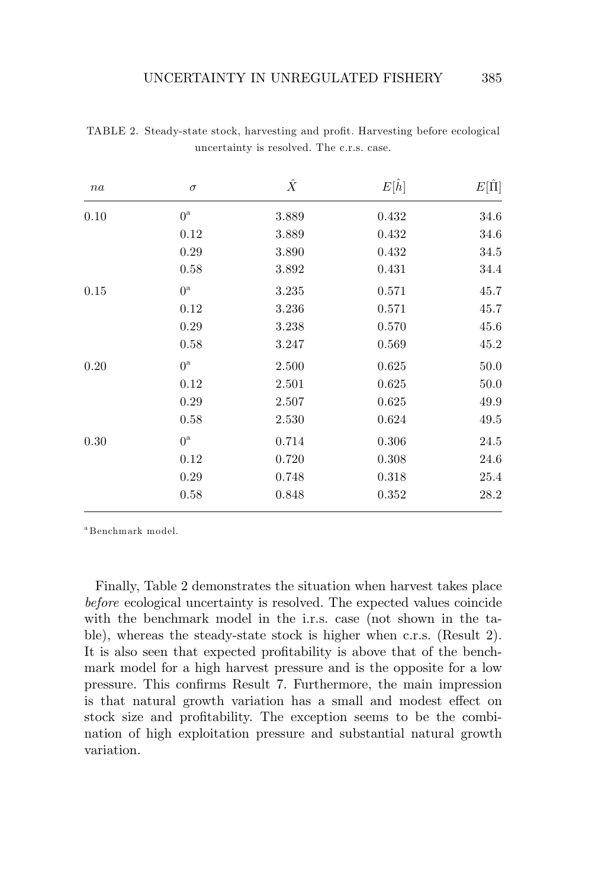| na   | $\sigma$         | $\hat{X}$ | $E[\hat{h}]$ | $E[\hat{\Pi}]$ |
|------|------------------|-----------|--------------|----------------|
| 0.10 | $0^{\mathrm{a}}$ | 3.889     | 0.432        | 34.6           |
|      | 0.12             | 3.889     | 0.432        | 34.6           |
|      | 0.29             | 3.890     | 0.432        | 34.5           |
|      | 0.58             | 3.892     | 0.431        | 34.4           |
| 0.15 | $0^{\rm a}$      | 3.235     | 0.571        | 45.7           |
|      | 0.12             | 3.236     | 0.571        | 45.7           |
|      | 0.29             | 3.238     | 0.570        | 45.6           |
|      | 0.58             | 3.247     | 0.569        | 45.2           |
| 0.20 | $0^{\rm a}$      | 2.500     | 0.625        | $50.0\,$       |
|      | 0.12             | 2.501     | 0.625        | 50.0           |
|      | 0.29             | 2.507     | 0.625        | 49.9           |
|      | 0.58             | 2.530     | 0.624        | 49.5           |
| 0.30 | $0^{\rm a}$      | 0.714     | 0.306        | 24.5           |
|      | 0.12             | 0.720     | 0.308        | 24.6           |
|      | 0.29             | 0.748     | 0.318        | 25.4           |
|      | 0.58             | 0.848     | 0.352        | 28.2           |

TABLE 2. Steady-state stock, harvesting and profit. Harvesting before ecological uncertainty is resolved. The c.r.s. case.

<sup>a</sup> Benchmark model.

Finally, Table 2 demonstrates the situation when harvest takes place before ecological uncertainty is resolved. The expected values coincide with the benchmark model in the i.r.s. case (not shown in the table), whereas the steady-state stock is higher when c.r.s. (Result 2). It is also seen that expected profitability is above that of the benchmark model for a high harvest pressure and is the opposite for a low pressure. This confirms Result 7. Furthermore, the main impression is that natural growth variation has a small and modest effect on stock size and profitability. The exception seems to be the combination of high exploitation pressure and substantial natural growth variation.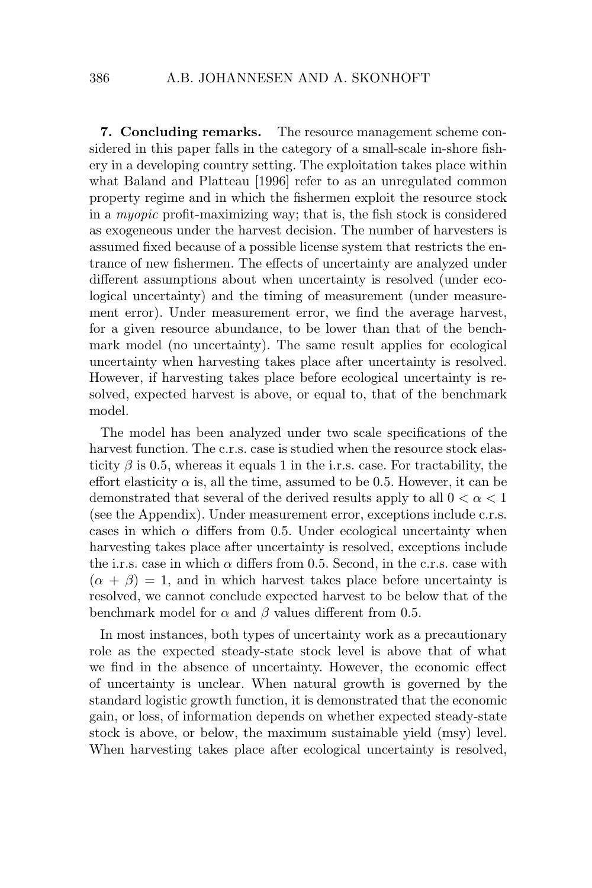# 386 A.B. JOHANNESEN AND A. SKONHOFT

**7. Concluding remarks.** The resource management scheme considered in this paper falls in the category of a small-scale in-shore fishery in a developing country setting. The exploitation takes place within what Baland and Platteau [1996] refer to as an unregulated common property regime and in which the fishermen exploit the resource stock in a myopic profit-maximizing way; that is, the fish stock is considered as exogeneous under the harvest decision. The number of harvesters is assumed fixed because of a possible license system that restricts the entrance of new fishermen. The effects of uncertainty are analyzed under different assumptions about when uncertainty is resolved (under ecological uncertainty) and the timing of measurement (under measurement error). Under measurement error, we find the average harvest, for a given resource abundance, to be lower than that of the benchmark model (no uncertainty). The same result applies for ecological uncertainty when harvesting takes place after uncertainty is resolved. However, if harvesting takes place before ecological uncertainty is resolved, expected harvest is above, or equal to, that of the benchmark model.

The model has been analyzed under two scale specifications of the harvest function. The c.r.s. case is studied when the resource stock elasticity  $\beta$  is 0.5, whereas it equals 1 in the i.r.s. case. For tractability, the effort elasticity  $\alpha$  is, all the time, assumed to be 0.5. However, it can be demonstrated that several of the derived results apply to all  $0 < \alpha < 1$ (see the Appendix). Under measurement error, exceptions include c.r.s. cases in which  $\alpha$  differs from 0.5. Under ecological uncertainty when harvesting takes place after uncertainty is resolved, exceptions include the i.r.s. case in which  $\alpha$  differs from 0.5. Second, in the c.r.s. case with  $(\alpha + \beta) = 1$ , and in which harvest takes place before uncertainty is resolved, we cannot conclude expected harvest to be below that of the benchmark model for  $\alpha$  and  $\beta$  values different from 0.5.

In most instances, both types of uncertainty work as a precautionary role as the expected steady-state stock level is above that of what we find in the absence of uncertainty. However, the economic effect of uncertainty is unclear. When natural growth is governed by the standard logistic growth function, it is demonstrated that the economic gain, or loss, of information depends on whether expected steady-state stock is above, or below, the maximum sustainable yield (msy) level. When harvesting takes place after ecological uncertainty is resolved,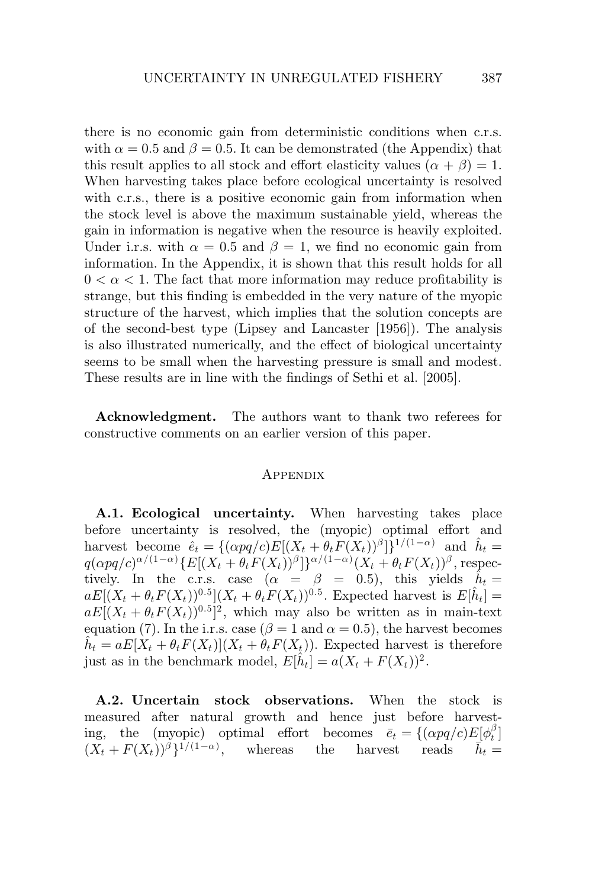there is no economic gain from deterministic conditions when c.r.s. with  $\alpha = 0.5$  and  $\beta = 0.5$ . It can be demonstrated (the Appendix) that this result applies to all stock and effort elasticity values  $(\alpha + \beta) = 1$ . When harvesting takes place before ecological uncertainty is resolved with c.r.s., there is a positive economic gain from information when the stock level is above the maximum sustainable yield, whereas the gain in information is negative when the resource is heavily exploited. Under i.r.s. with  $\alpha = 0.5$  and  $\beta = 1$ , we find no economic gain from information. In the Appendix, it is shown that this result holds for all  $0 < \alpha < 1$ . The fact that more information may reduce profitability is strange, but this finding is embedded in the very nature of the myopic structure of the harvest, which implies that the solution concepts are of the second-best type (Lipsey and Lancaster [1956]). The analysis is also illustrated numerically, and the effect of biological uncertainty seems to be small when the harvesting pressure is small and modest. These results are in line with the findings of Sethi et al. [2005].

**Acknowledgment.** The authors want to thank two referees for constructive comments on an earlier version of this paper.

#### **APPENDIX**

**A.1. Ecological uncertainty.** When harvesting takes place before uncertainty is resolved, the (myopic) optimal effort and harvest become  $\hat{e}_t = \{(\alpha pq/c)E[(X_t + \theta_t F(X_t))^{\beta}]\}^{1/(1-\alpha)}$  and  $\hat{h}_t =$  $q(\alpha pq/c)^{\alpha/(1-\alpha)}\{E[(X_t+\theta_t F(X_t))^\beta]\}^{\alpha/(1-\alpha)}(X_t+\theta_t F(X_t))^\beta,$  respectively. In the c.r.s. case  $(\alpha = \beta = 0.5)$ , this yields  $\hat{h}_t =$  $aE[(X_t + \theta_t F(X_t))^{0.5}](X_t + \theta_t F(X_t))^{0.5}$ . Expected harvest is  $E[\hat{h}_t] =$  $aE[(X_t + \theta_t F(X_t))^{0.5}]^2$ , which may also be written as in main-text equation (7). In the i.r.s. case ( $\beta = 1$  and  $\alpha = 0.5$ ), the harvest becomes  $h_t = aE[X_t + \theta_t F(X_t)](X_t + \theta_t F(X_t)).$  Expected harvest is therefore just as in the benchmark model,  $E[\hat{h}_t] = a(X_t + F(X_t))^2$ .

**A.2. Uncertain stock observations.** When the stock is measured after natural growth and hence just before harvesting, the (myopic) optimal effort becomes  $\bar{e}_t = \{(\alpha pq/c)E[\phi_t^{\beta}]$  $(X_t + F(X_t))^{\beta}$ <sup>1/(1–α)</sup>, whereas the harvest reads  $\bar{h}_t =$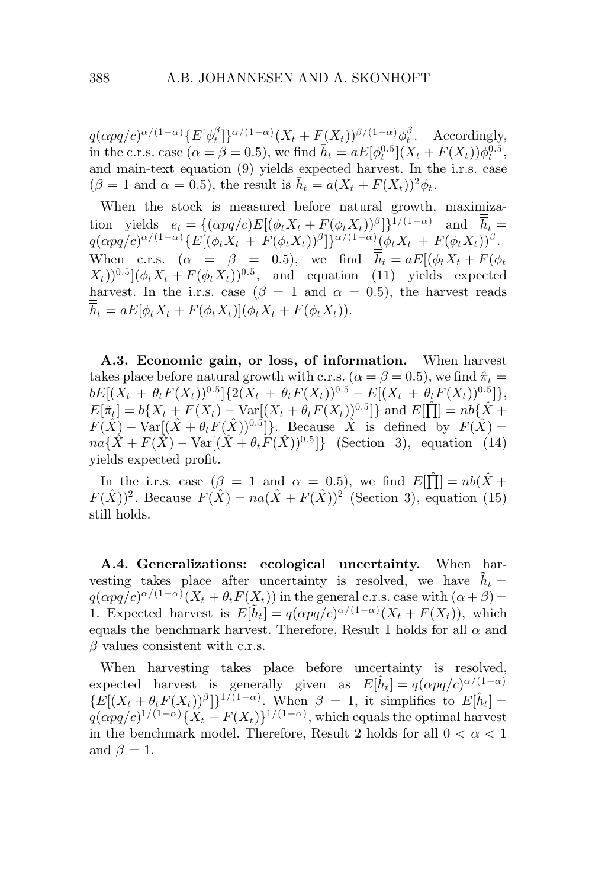$q(\alpha pq/c)^{\alpha/(1-\alpha)} \{E[\phi_t^{\beta}]\}^{\alpha/(1-\alpha)} (X_t + F(X_t))^{\beta/(1-\alpha)} \phi_t^{\beta}.$  Accordingly, in the c.r.s. case  $(\alpha = \beta = 0.5)$ , we find  $\bar{h}_t = aE[\phi_t^{0.5}](X_t + F(X_t))\phi_t^{0.5}$ , and main-text equation (9) yields expected harvest. In the i.r.s. case  $(\beta = 1 \text{ and } \alpha = 0.5)$ , the result is  $\bar{h}_t = a(X_t + F(X_t))^2 \phi_t$ .

When the stock is measured before natural growth, maximization yields  $\overline{\overline{e}}_t = \{(\alpha pq/c)E[(\phi_t X_t + F(\phi_t X_t))^{\beta}]\}^{1/(1-\alpha)}$  and  $\overline{h}_t =$  $q(\alpha pq/c)^{\alpha/(1-\alpha)}\{E[(\phi_tX_t + F(\phi_tX_t))^{\beta}]\}^{\alpha/(1-\alpha)}(\phi_tX_t + F(\phi_tX_t))^{\beta}.$ When c.r.s.  $(\alpha = \beta = 0.5)$ , we find  $\overline{h}_t = aE[(\phi_t X_t + F(\phi_t))$  $(X_t)^{0.5}$   $[(\phi_t X_t + F(\phi_t X_t))^{0.5}]$ , and equation (11) yields expected harvest. In the i.r.s. case ( $\beta = 1$  and  $\alpha = 0.5$ ), the harvest reads  $\overline{\overline{h}}_t = aE[\phi_t X_t + F(\phi_t X_t)](\phi_t X_t + F(\phi_t X_t)).$ 

**A.3. Economic gain, or loss, of information.** When harvest takes place before natural growth with c.r.s. ( $\alpha = \beta = 0.5$ ), we find  $\hat{\pi}_t$  $bE[(X_t + \theta_t F(X_t))^{0.5}]\{2(X_t + \theta_t F(X_t))^{0.5} - E[(X_t + \theta_t F(X_t))^{0.5}]\},$  $E[\hat{\pi}_t] = b\{X_t + F(X_t) - \text{Var}[(X_t + \theta_t F(X_t))^{0.5}]\}$  and  $E[\hat{\Pi}] = nb\{\hat{X} + \hat{X}$  $F(\hat{X}) - \text{Var}[(\hat{X} + \theta_t F(\hat{X}))^{0.5}].$  Because  $\hat{X}$  is defined by  $F(\hat{X}) =$  $na\{\hat{X}+F(\hat{X})-\text{Var}[(\hat{X}+\theta_t F(\hat{X}))^{0.5}]\}$  (Section 3), equation (14) yields expected profit.

In the i.r.s. case  $(\beta = 1 \text{ and } \alpha = 0.5)$ , we find  $E[\hat{\Pi}] = nb(\hat{X} + \hat{X})$  $F(\hat{X})^2$ . Because  $F(\hat{X}) = na(\hat{X} + F(\hat{X}))^2$  (Section 3), equation (15) still holds.

**A.4. Generalizations: ecological uncertainty.** When harvesting takes place after uncertainty is resolved, we have  $\tilde{h}_t =$  $q(\alpha pq/c)^{\alpha/(1-\alpha)}(X_t + \theta_t F(X_t))$  in the general c.r.s. case with  $(\alpha + \beta)$ 1. Expected harvest is  $E[\tilde{h}_t] = q(\alpha pq/c)^{\alpha/(1-\alpha)}(X_t + F(X_t)),$  which equals the benchmark harvest. Therefore, Result 1 holds for all  $\alpha$  and  $\beta$  values consistent with c.r.s.

When harvesting takes place before uncertainty is resolved, expected harvest is generally given as  $E[\hat{h}_t] = q(\alpha pq/c)^{\alpha/(1-\alpha)}$  ${E[(X_t + \theta_t F(X_t))^{\beta}]^{1/(1-\alpha)}}$ . When  $\beta = 1$ , it simplifies to  $E[\hat{h}_t] =$  $q(\alpha pq/c)^{1/(1-\alpha)}\{X_t + F(X_t)\}^{1/(1-\alpha)}$ , which equals the optimal harvest in the benchmark model. Therefore, Result 2 holds for all  $0 < \alpha < 1$ and  $\beta = 1$ .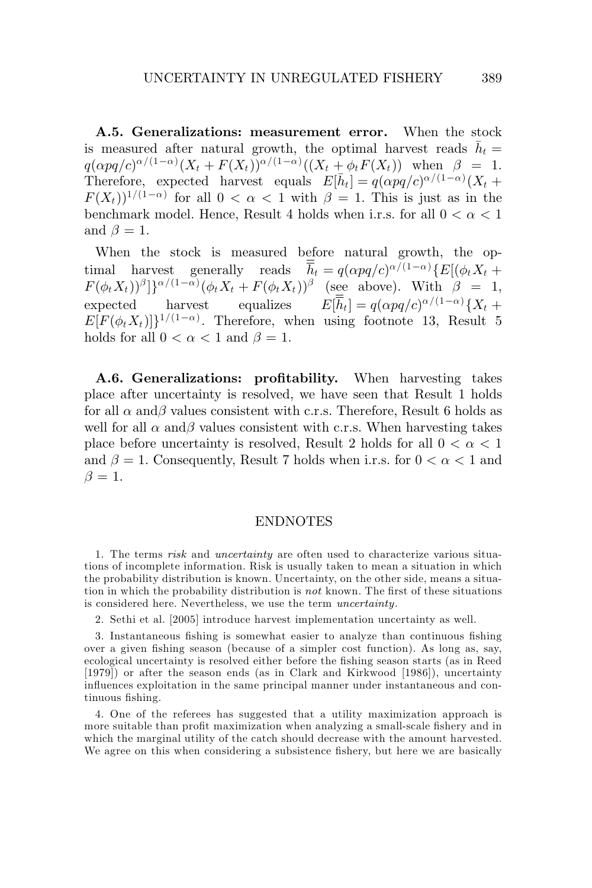**A.5. Generalizations: measurement error.** When the stock is measured after natural growth, the optimal harvest reads  $\bar{h}_t =$  $q(\alpha pq/c)^{\alpha/(1-\alpha)}(X_t + F(X_t))^{\alpha/(1-\alpha)}((X_t + \phi_t F(X_t))$  when  $\beta = 1$ . Therefore, expected harvest equals  $E[\bar{h}_t] = q(\alpha pq/c)^{\alpha/(1-\alpha)}(X_t +$  $F(X_t)^{1/(1-\alpha)}$  for all  $0 < \alpha < 1$  with  $\beta = 1$ . This is just as in the benchmark model. Hence, Result 4 holds when i.r.s. for all  $0 < \alpha < 1$ and  $\beta = 1$ .

When the stock is measured before natural growth, the optimal harvest generally reads  $\overline{h}_t = q(\alpha pq/c)^{\alpha/(1-\alpha)} \{E[(\phi_t X_t +$  $F(\phi_t X_t))^{\beta}$ ] $\big[\n\alpha/(1-\alpha)\left(\phi_t X_t + F(\phi_t X_t)\right)^{\beta}$  (see above). With  $\beta = 1$ , expected harvest equalizes  $E[\overline{h}_t] = q(\alpha pq/c)^{\alpha/(1-\alpha)}\{X_t +$  $E[F(\phi_t X_t)]\}^{1/(1-\alpha)}$ . Therefore, when using footnote 13, Result 5 holds for all  $0 < \alpha < 1$  and  $\beta = 1$ .

**A.6. Generalizations: profitability.** When harvesting takes place after uncertainty is resolved, we have seen that Result 1 holds for all  $\alpha$  and  $\beta$  values consistent with c.r.s. Therefore, Result 6 holds as well for all  $\alpha$  and  $\beta$  values consistent with c.r.s. When harvesting takes place before uncertainty is resolved, Result 2 holds for all  $0 < \alpha < 1$ and  $\beta = 1$ . Consequently, Result 7 holds when i.r.s. for  $0 < \alpha < 1$  and  $\beta=1.$ 

### ENDNOTES

1. The terms risk and uncertainty are often used to characterize various situations of incomplete information. Risk is usually taken to mean a situation in which the probability distribution is known. Uncertainty, on the other side, means a situation in which the probability distribution is *not* known. The first of these situations is considered here. Nevertheless, we use the term uncertainty.

2. Sethi et al. [2005] introduce harvest implementation uncertainty as well.

3. Instantaneous fishing is somewhat easier to analyze than continuous fishing over a given fishing season (because of a simpler cost function). As long as, say, ecological uncertainty is resolved either before the fishing season starts (as in Reed [1979]) or after the season ends (as in Clark and Kirkwood [1986]), uncertainty influences exploitation in the same principal manner under instantaneous and continuous fishing.

4. One of the referees has suggested that a utility maximization approach is more suitable than profit maximization when analyzing a small-scale fishery and in which the marginal utility of the catch should decrease with the amount harvested. We agree on this when considering a subsistence fishery, but here we are basically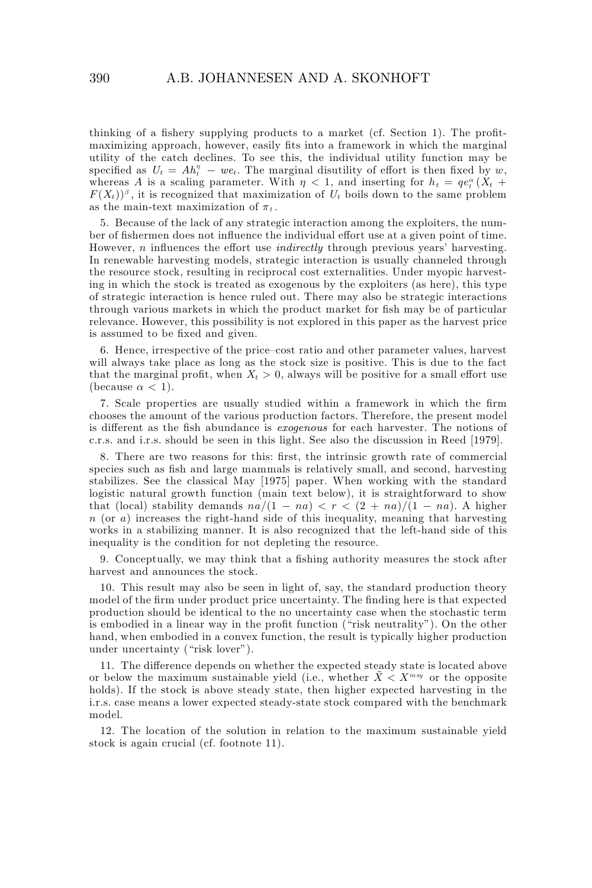thinking of a fishery supplying products to a market (cf. Section 1). The profitmaximizing approach, however, easily fits into a framework in which the marginal utility of the catch declines. To see this, the individual utility function may be specified as  $U_t = Ah_t^{\eta} - we_t$ . The marginal disutility of effort is then fixed by w, whereas A is a scaling parameter. With  $\eta$  < 1, and inserting for  $h_t = q e_t^{\alpha} (X_t +$  $F(X_t)$ <sup>β</sup>, it is recognized that maximization of  $U_t$  boils down to the same problem as the main-text maximization of  $\pi_t$ .

5. Because of the lack of any strategic interaction among the exploiters, the number of fishermen does not influence the individual effort use at a given point of time. However, n influences the effort use *indirectly* through previous years' harvesting. In renewable harvesting models, strategic interaction is usually channeled through the resource stock, resulting in reciprocal cost externalities. Under myopic harvesting in which the stock is treated as exogenous by the exploiters (as here), this type of strategic interaction is hence ruled out. There may also be strategic interactions through various markets in which the product market for fish may be of particular relevance. However, this possibility is not explored in this paper as the harvest price is assumed to be fixed and given.

6. Hence, irrespective of the price–cost ratio and other parameter values, harvest will always take place as long as the stock size is positive. This is due to the fact that the marginal profit, when  $X_t > 0$ , always will be positive for a small effort use (because  $\alpha < 1$ ).

7. Scale properties are usually studied within a framework in which the firm chooses the amount of the various production factors. Therefore, the present model is different as the fish abundance is exogenous for each harvester. The notions of c.r.s. and i.r.s. should be seen in this light. See also the discussion in Reed [1979].

8. There are two reasons for this: first, the intrinsic growth rate of commercial species such as fish and large mammals is relatively small, and second, harvesting stabilizes. See the classical May [1975] paper. When working with the standard logistic natural growth function (main text below), it is straightforward to show that (local) stability demands  $na/(1 - na) < r < (2 + na)/(1 - na)$ . A higher  $n$  (or a) increases the right-hand side of this inequality, meaning that harvesting works in a stabilizing manner. It is also recognized that the left-hand side of this inequality is the condition for not depleting the resource.

9. Conceptually, we may think that a fishing authority measures the stock after harvest and announces the stock.

10. This result may also be seen in light of, say, the standard production theory model of the firm under product price uncertainty. The finding here is that expected production should be identical to the no uncertainty case when the stochastic term is embodied in a linear way in the profit function ("risk neutrality"). On the other hand, when embodied in a convex function, the result is typically higher production under uncertainty ("risk lover").

11. The difference depends on whether the expected steady state is located above or below the maximum sustainable yield (i.e., whether  $X < X^{m s_y}$  or the opposite holds). If the stock is above steady state, then higher expected harvesting in the i.r.s. case means a lower expected steady-state stock compared with the benchmark model.

12. The location of the solution in relation to the maximum sustainable yield stock is again crucial (cf. footnote 11).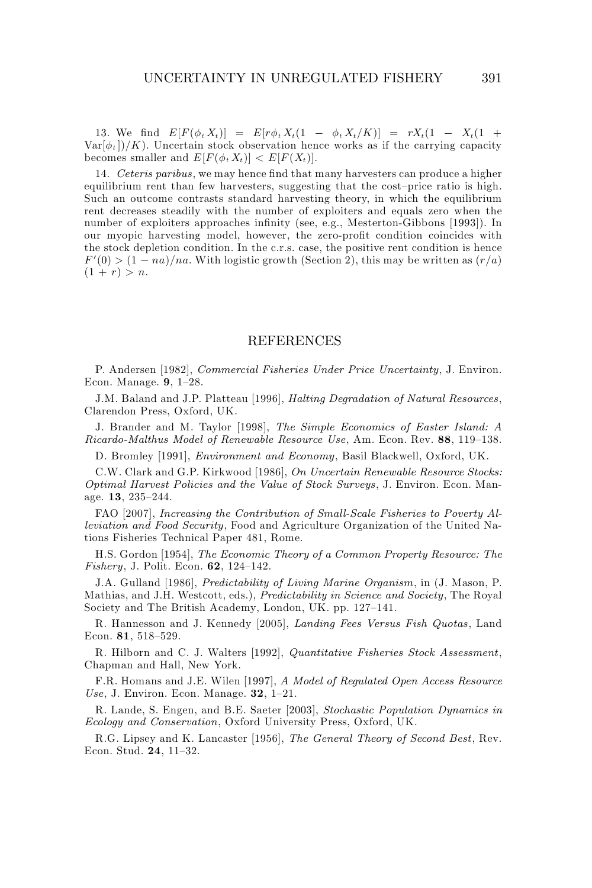13. We find  $E[F(\phi_t X_t)] = E[r\phi_t X_t(1 - \phi_t X_t/K)] = rX_t(1 - X_t(1 +$  $Var[\phi_t]/K$ . Uncertain stock observation hence works as if the carrying capacity becomes smaller and  $E[F(\phi_t X_t)] < E[F(X_t)].$ 

14. Ceteris paribus, we may hence find that many harvesters can produce a higher equilibrium rent than few harvesters, suggesting that the cost–price ratio is high. Such an outcome contrasts standard harvesting theory, in which the equilibrium rent decreases steadily with the number of exploiters and equals zero when the number of exploiters approaches infinity (see, e.g., Mesterton-Gibbons [1993]). In our myopic harvesting model, however, the zero-profit condition coincides with the stock depletion condition. In the c.r.s. case, the positive rent condition is hence  $F'(0) > (1 - na)/na$ . With logistic growth (Section 2), this may be written as  $(r/a)$  $(1 + r) > n$ .

## REFERENCES

P. Andersen [1982], Commercial Fisheries Under Price Uncertainty, J. Environ. Econ. Manage. **9**, 1–28.

J.M. Baland and J.P. Platteau [1996], Halting Degradation of Natural Resources, Clarendon Press, Oxford, UK.

J. Brander and M. Taylor [1998], The Simple Economics of Easter Island: A Ricardo-Malthus Model of Renewable Resource Use, Am. Econ. Rev. **88**, 119–138.

D. Bromley [1991], Environment and Economy, Basil Blackwell, Oxford, UK.

C.W. Clark and G.P. Kirkwood [1986], On Uncertain Renewable Resource Stocks: Optimal Harvest Policies and the Value of Stock Surveys, J. Environ. Econ. Manage. **13**, 235–244.

FAO [2007], Increasing the Contribution of Small-Scale Fisheries to Poverty Alleviation and Food Security, Food and Agriculture Organization of the United Nations Fisheries Technical Paper 481, Rome.

H.S. Gordon [1954], The Economic Theory of a Common Property Resource: The Fishery, J. Polit. Econ. **62**, 124–142.

J.A. Gulland [1986], Predictability of Living Marine Organism, in (J. Mason, P. Mathias, and J.H. Westcott, eds.), Predictability in Science and Society, The Royal Society and The British Academy, London, UK. pp. 127–141.

R. Hannesson and J. Kennedy [2005], Landing Fees Versus Fish Quotas, Land Econ. **81**, 518–529.

R. Hilborn and C. J. Walters [1992], Quantitative Fisheries Stock Assessment, Chapman and Hall, New York.

F.R. Homans and J.E. Wilen [1997], A Model of Regulated Open Access Resource Use, J. Environ. Econ. Manage. **32**, 1–21.

R. Lande, S. Engen, and B.E. Saeter [2003], Stochastic Population Dynamics in Ecology and Conservation, Oxford University Press, Oxford, UK.

R.G. Lipsey and K. Lancaster [1956], The General Theory of Second Best, Rev. Econ. Stud. **24**, 11–32.